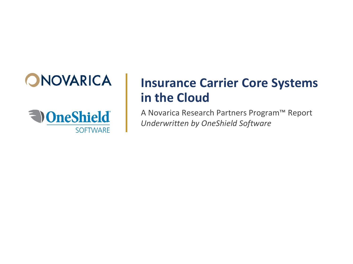



# **Insurance Carrier Core Systems in the Cloud**

A Novarica Research Partners Program™ Report *Underwritten by OneShield Software*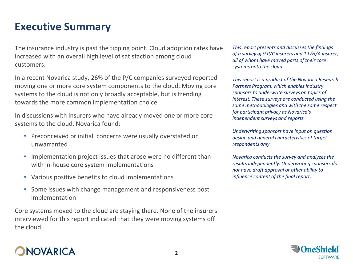### **Executive Summary**

The insurance industry is past the tipping point. Cloud adoption rates have increased with an overall high level of satisfaction among cloud customers.

In a recent Novarica study, 26% of the P/C companies surveyed reported moving one or more core system components to the cloud. Moving core systems to the cloud is not only broadly acceptable, but is trending towards the more common implementation choice.

In discussions with insurers who have already moved one or more core systems to the cloud, Novarica found:

- Preconceived or initial concerns were usually overstated or unwarranted
- Implementation project issues that arose were no different than with in-house core system implementations
- Various positive benefits to cloud implementations
- Some issues with change management and responsiveness post implementation

Core systems moved to the cloud are staying there. None of the insurers interviewed for this report indicated that they were moving systems off the cloud.

#### *This report presents and discusses the findings of a survey of 9 P/C insurers and 1 L/H/A insurer, all of whom have moved parts of their core systems onto the cloud.*

*This report is a product of the Novarica Research Partners Program, which enables industry sponsors to underwrite surveys on topics of interest. These surveys are conducted using the same methodologies and with the same respect for participant privacy as Novarica's independent surveys and reports.*

*Underwriting sponsors have input on question design and general characteristics of target respondents only.* 

*Novarica conducts the survey and analyzes the results independently. Underwriting sponsors do not have draft approval or other ability to influence content of the final report.*



### NOVARICA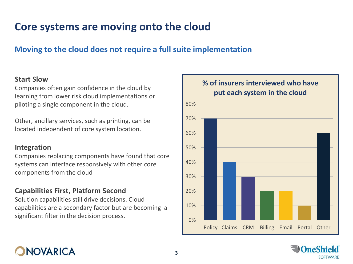### **Core systems are moving onto the cloud**

### **Moving to the cloud does not require a full suite implementation**

#### **Start Slow**

Companies often gain confidence in the cloud by learning from lower risk cloud implementations or piloting a single component in the cloud.

Other, ancillary services, such as printing, can be located independent of core system location.

#### **Integration**

Companies replacing components have found that core systems can interface responsively with other core components from the cloud

#### **Capabilities First, Platform Second**

Solution capabilities still drive decisions. Cloud capabilities are a secondary factor but are becoming a significant filter in the decision process.  $\begin{array}{|c|c|}\n\hline\n0\% & \\\hline\n0\end{array}$ 



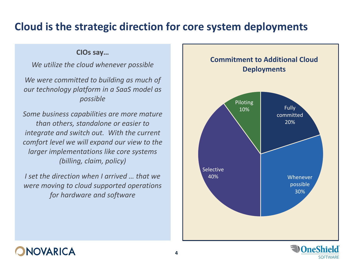### **Cloud is the strategic direction for core system deployments**

#### **CIOs say…**

*We utilize the cloud whenever possible*

*We were committed to building as much of our technology platform in a SaaS model as possible* 

*Some business capabilities are more mature than others, standalone or easier to integrate and switch out. With the current comfort level we will expand our view to the larger implementations like core systems (billing, claim, policy)*

*I set the direction when I arrived … that we were moving to cloud supported operations for hardware and software*





### **DNOVARICA**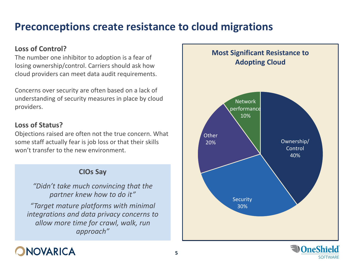### **Preconceptions create resistance to cloud migrations**

#### **Loss of Control?**

The number one inhibitor to adoption is a fear of losing ownership/control. Carriers should ask how cloud providers can meet data audit requirements.

Concerns over security are often based on a lack of understanding of security measures in place by cloud providers.

#### **Loss of Status?**

Objections raised are often not the true concern. What some staff actually fear is job loss or that their skills won't transfer to the new environment.

#### **CIOs Say**

*"Didn't take much convincing that the partner knew how to do it"*

*"Target mature platforms with minimal integrations and data privacy concerns to allow more time for crawl, walk, run approach"*



**SOFTWARE** 

## **DNOVARICA**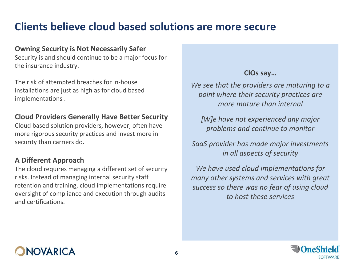### **Clients believe cloud based solutions are more secure**

#### **Owning Security is Not Necessarily Safer**

Security is and should continue to be a major focus for the insurance industry.

The risk of attempted breaches for in-house installations are just as high as for cloud based implementations .

#### **Cloud Providers Generally Have Better Security**

Cloud based solution providers, however, often have more rigorous security practices and invest more in security than carriers do.

### **A Different Approach**

The cloud requires managing a different set of security risks. Instead of managing internal security staff retention and training, cloud implementations require oversight of compliance and execution through audits and certifications.

### **CIOs say…**

*We see that the providers are maturing to a point where their security practices are more mature than internal*

*[W]e have not experienced any major problems and continue to monitor*

*SaaS provider has made major investments in all aspects of security*

*We have used cloud implementations for many other systems and services with great success so there was no fear of using cloud to host these services*



## NOVARICA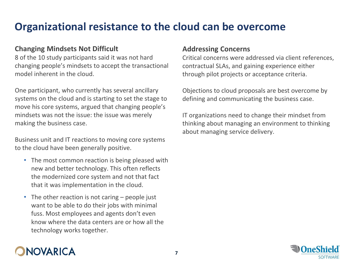### **Organizational resistance to the cloud can be overcome**

#### **Changing Mindsets Not Difficult**

8 of the 10 study participants said it was not hard changing people's mindsets to accept the transactional model inherent in the cloud.

One participant, who currently has several ancillary systems on the cloud and is starting to set the stage to move his core systems, argued that changing people's mindsets was not the issue: the issue was merely making the business case.

Business unit and IT reactions to moving core systems to the cloud have been generally positive.

- The most common reaction is being pleased with new and better technology. This often reflects the modernized core system and not that fact that it was implementation in the cloud.
- The other reaction is not caring people just want to be able to do their jobs with minimal fuss. Most employees and agents don't even know where the data centers are or how all the technology works together.

NOVARICA

#### **Addressing Concerns**

Critical concerns were addressed via client references, contractual SLAs, and gaining experience either through pilot projects or acceptance criteria.

Objections to cloud proposals are best overcome by defining and communicating the business case.

IT organizations need to change their mindset from thinking about managing an environment to thinking about managing service delivery.

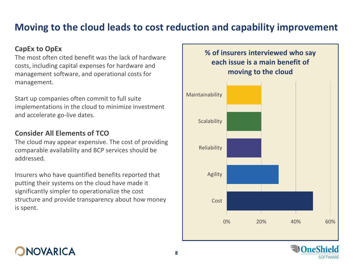### **Moving to the cloud leads to cost reduction and capability improvement**

#### **CapEx to OpEx**

The most often cited benefit was the lack of hardware costs, including capital expenses for hardware and management software, and operational costs for management.

Start up companies often commit to full suite implementations in the cloud to minimize investment and accelerate go-live dates.

#### **Consider All Elements of TCO**

The cloud may appear expensive. The cost of providing comparable availability and BCP services should be addressed.

Insurers who have quantified benefits reported that putting their systems on the cloud have made it significantly simpler to operationalize the cost structure and provide transparency about how money is spent.

#### **% of insurers interviewed who say each issue is a main benefit of moving to the cloud**



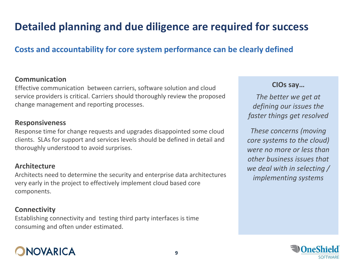## **Detailed planning and due diligence are required for success**

### **Costs and accountability for core system performance can be clearly defined**

#### **Communication**

Effective communication between carriers, software solution and cloud service providers is critical. Carriers should thoroughly review the proposed change management and reporting processes.

#### **Responsiveness**

Response time for change requests and upgrades disappointed some cloud clients. SLAs for support and services levels should be defined in detail and thoroughly understood to avoid surprises.

#### **Architecture**

Architects need to determine the security and enterprise data architectures very early in the project to effectively implement cloud based core components.

#### **Connectivity**

Establishing connectivity and testing third party interfaces is time consuming and often under estimated.

## **NOVARICA**

#### **CIOs say…**

*The better we get at defining our issues the faster things get resolved*

*These concerns (moving core systems to the cloud) were no more or less than other business issues that we deal with in selecting / implementing systems*

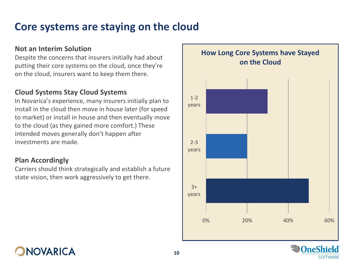### **Core systems are staying on the cloud**

#### **Not an Interim Solution**

Despite the concerns that insurers initially had about putting their core systems on the cloud, once they're on the cloud, insurers want to keep them there.

#### **Cloud Systems Stay Cloud Systems**

In Novarica's experience, many insurers initially plan to install in the cloud then move in house later (for speed to market) or install in house and then eventually move to the cloud (as they gained more comfort.) These intended moves generally don't happen after investments are made.

#### **Plan Accordingly**

Carriers should think strategically and establish a future state vision, then work aggressively to get there.



**SOFTWARE** 

**NOVARICA**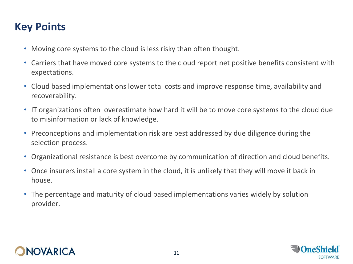### **Key Points**

- Moving core systems to the cloud is less risky than often thought.
- Carriers that have moved core systems to the cloud report net positive benefits consistent with expectations.
- Cloud based implementations lower total costs and improve response time, availability and recoverability.
- IT organizations often overestimate how hard it will be to move core systems to the cloud due to misinformation or lack of knowledge.
- Preconceptions and implementation risk are best addressed by due diligence during the selection process.
- Organizational resistance is best overcome by communication of direction and cloud benefits.
- Once insurers install a core system in the cloud, it is unlikely that they will move it back in house.
- The percentage and maturity of cloud based implementations varies widely by solution provider.